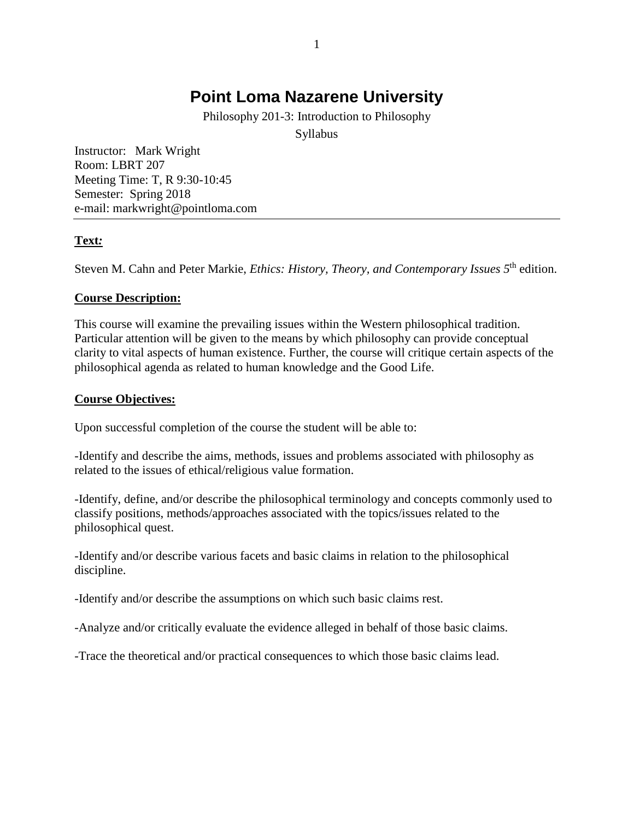# **Point Loma [Nazarene](http://www.pointloma.edu/) University**

Philosophy 201-3: Introduction to Philosophy

Syllabus

Instructor: Mark Wright Room: LBRT 207 Meeting Time: T, R 9:30-10:45 Semester: Spring 2018 e-mail: markwright@pointloma.com

## **Text***:*

Steven M. Cahn and Peter Markie, *Ethics: History, Theory, and Contemporary Issues 5*th edition.

## **Course Description:**

This course will examine the prevailing issues within the Western philosophical tradition. Particular attention will be given to the means by which philosophy can provide conceptual clarity to vital aspects of human existence. Further, the course will critique certain aspects of the philosophical agenda as related to human knowledge and the Good Life.

## **Course Objectives:**

Upon successful completion of the course the student will be able to:

-Identify and describe the aims, methods, issues and problems associated with philosophy as related to the issues of ethical/religious value formation.

-Identify, define, and/or describe the philosophical terminology and concepts commonly used to classify positions, methods/approaches associated with the topics/issues related to the philosophical quest.

-Identify and/or describe various facets and basic claims in relation to the philosophical discipline.

-Identify and/or describe the assumptions on which such basic claims rest.

-Analyze and/or critically evaluate the evidence alleged in behalf of those basic claims.

-Trace the theoretical and/or practical consequences to which those basic claims lead.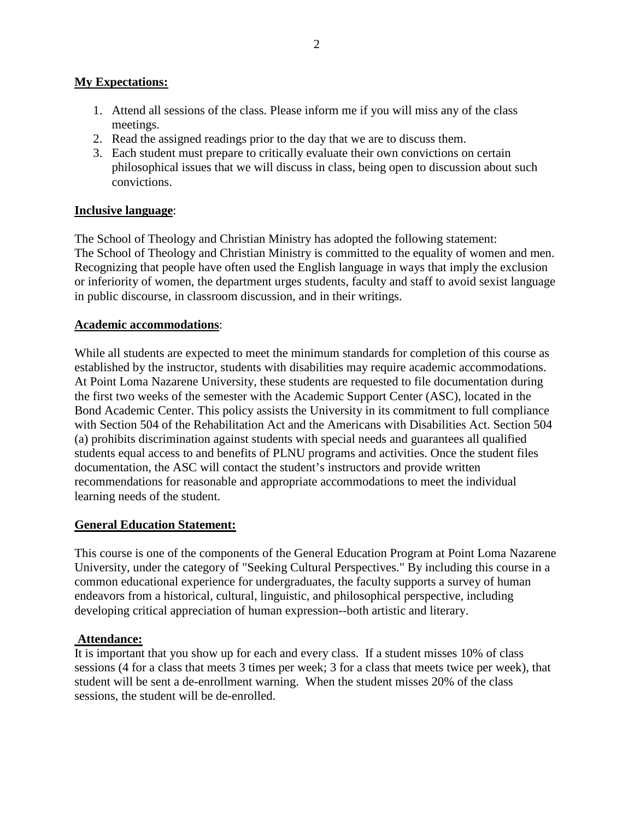#### **My Expectations:**

- 1. Attend all sessions of the class. Please inform me if you will miss any of the class meetings.
- 2. Read the assigned readings prior to the day that we are to discuss them.
- 3. Each student must prepare to critically evaluate their own convictions on certain philosophical issues that we will discuss in class, being open to discussion about such convictions.

## **Inclusive language**:

The School of Theology and Christian Ministry has adopted the following statement: The School of Theology and Christian Ministry is committed to the equality of women and men. Recognizing that people have often used the English language in ways that imply the exclusion or inferiority of women, the department urges students, faculty and staff to avoid sexist language in public discourse, in classroom discussion, and in their writings.

#### **Academic accommodations**:

While all students are expected to meet the minimum standards for completion of this course as established by the instructor, students with disabilities may require academic accommodations. At Point Loma Nazarene University, these students are requested to file documentation during the first two weeks of the semester with the Academic Support Center (ASC), located in the Bond Academic Center. This policy assists the University in its commitment to full compliance with Section 504 of the Rehabilitation Act and the Americans with Disabilities Act. Section 504 (a) prohibits discrimination against students with special needs and guarantees all qualified students equal access to and benefits of PLNU programs and activities. Once the student files documentation, the ASC will contact the student's instructors and provide written recommendations for reasonable and appropriate accommodations to meet the individual learning needs of the student.

#### **General Education Statement:**

This course is one of the components of the General Education Program at Point Loma Nazarene University, under the category of "Seeking Cultural Perspectives." By including this course in a common educational experience for undergraduates, the faculty supports a survey of human endeavors from a historical, cultural, linguistic, and philosophical perspective, including developing critical appreciation of human expression--both artistic and literary.

#### **Attendance:**

It is important that you show up for each and every class. If a student misses 10% of class sessions (4 for a class that meets 3 times per week; 3 for a class that meets twice per week), that student will be sent a de-enrollment warning. When the student misses 20% of the class sessions, the student will be de-enrolled.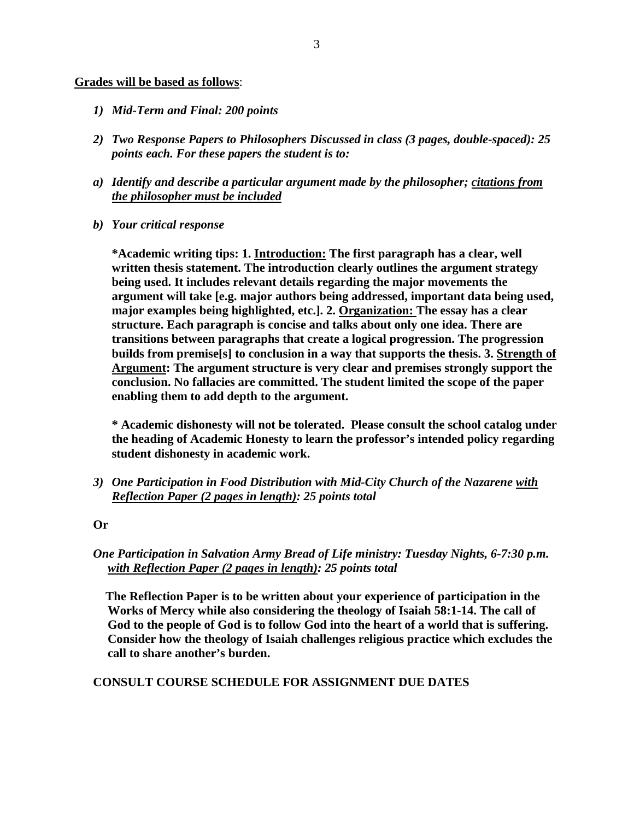#### **Grades will be based as follows**:

- *1) Mid-Term and Final: 200 points*
- *2) Two Response Papers to Philosophers Discussed in class (3 pages, double-spaced): 25 points each. For these papers the student is to:*
- *a) Identify and describe a particular argument made by the philosopher; citations from the philosopher must be included*
- *b) Your critical response*

**\*Academic writing tips: 1. Introduction: The first paragraph has a clear, well written thesis statement. The introduction clearly outlines the argument strategy being used. It includes relevant details regarding the major movements the argument will take [e.g. major authors being addressed, important data being used, major examples being highlighted, etc.]. 2. Organization: The essay has a clear structure. Each paragraph is concise and talks about only one idea. There are transitions between paragraphs that create a logical progression. The progression builds from premise[s] to conclusion in a way that supports the thesis. 3. Strength of Argument: The argument structure is very clear and premises strongly support the conclusion. No fallacies are committed. The student limited the scope of the paper enabling them to add depth to the argument.** 

**\* Academic dishonesty will not be tolerated. Please consult the school catalog under the heading of Academic Honesty to learn the professor's intended policy regarding student dishonesty in academic work.** 

*3) One Participation in Food Distribution with Mid-City Church of the Nazarene with Reflection Paper (2 pages in length): 25 points total* 

#### **Or**

## *One Participation in Salvation Army Bread of Life ministry: Tuesday Nights, 6-7:30 p.m. with Reflection Paper (2 pages in length): 25 points total*

 **The Reflection Paper is to be written about your experience of participation in the Works of Mercy while also considering the theology of Isaiah 58:1-14. The call of God to the people of God is to follow God into the heart of a world that is suffering. Consider how the theology of Isaiah challenges religious practice which excludes the call to share another's burden.**

#### **CONSULT COURSE SCHEDULE FOR ASSIGNMENT DUE DATES**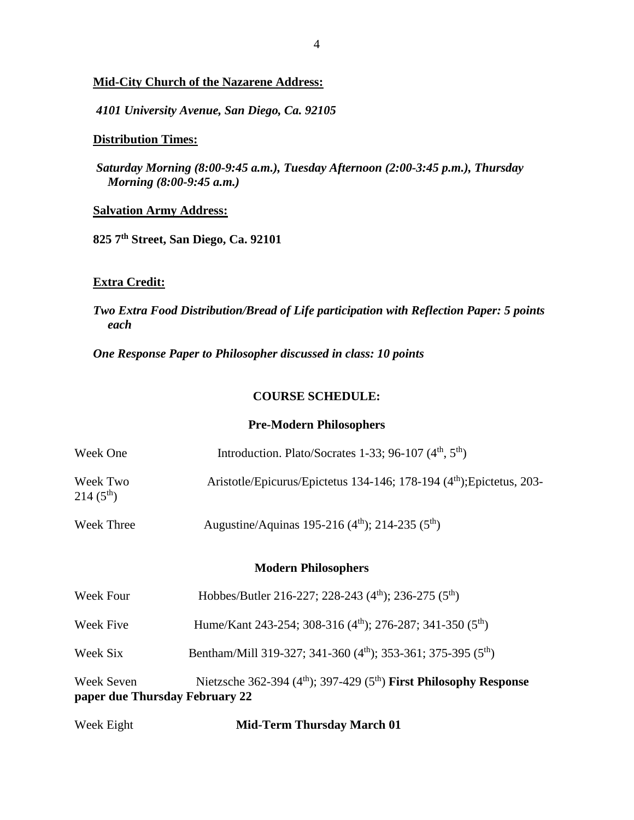#### **Mid-City Church of the Nazarene Address:**

*4101 University Avenue, San Diego, Ca. 92105*

## **Distribution Times:**

*Saturday Morning (8:00-9:45 a.m.), Tuesday Afternoon (2:00-3:45 p.m.), Thursday Morning (8:00-9:45 a.m.)* 

#### **Salvation Army Address:**

**825 7th Street, San Diego, Ca. 92101**

#### **Extra Credit:**

*Two Extra Food Distribution/Bread of Life participation with Reflection Paper: 5 points each* 

*One Response Paper to Philosopher discussed in class: 10 points* 

#### **COURSE SCHEDULE:**

#### **Pre-Modern Philosophers**

| Week One                                     | Introduction. Plato/Socrates 1-33; 96-107 $(4th, 5th)$                                     |
|----------------------------------------------|--------------------------------------------------------------------------------------------|
| Week Two<br>$214(5^{th})$                    | Aristotle/Epicurus/Epictetus 134-146; 178-194 (4 <sup>th</sup> ); Epictetus, 203-          |
| <b>Week Three</b>                            | Augustine/Aquinas 195-216 (4 <sup>th</sup> ); 214-235 (5 <sup>th</sup> )                   |
|                                              | <b>Modern Philosophers</b>                                                                 |
| Week Four                                    | Hobbes/Butler 216-227; 228-243 (4 <sup>th</sup> ); 236-275 (5 <sup>th</sup> )              |
| Week Five                                    | Hume/Kant 243-254; 308-316 (4 <sup>th</sup> ); 276-287; 341-350 (5 <sup>th</sup> )         |
| Week Six                                     | Bentham/Mill 319-327; 341-360 (4 <sup>th</sup> ); 353-361; 375-395 (5 <sup>th</sup> )      |
| Week Seven<br>paper due Thursday February 22 | Nietzsche 362-394 (4 <sup>th</sup> ); 397-429 (5 <sup>th</sup> ) First Philosophy Response |